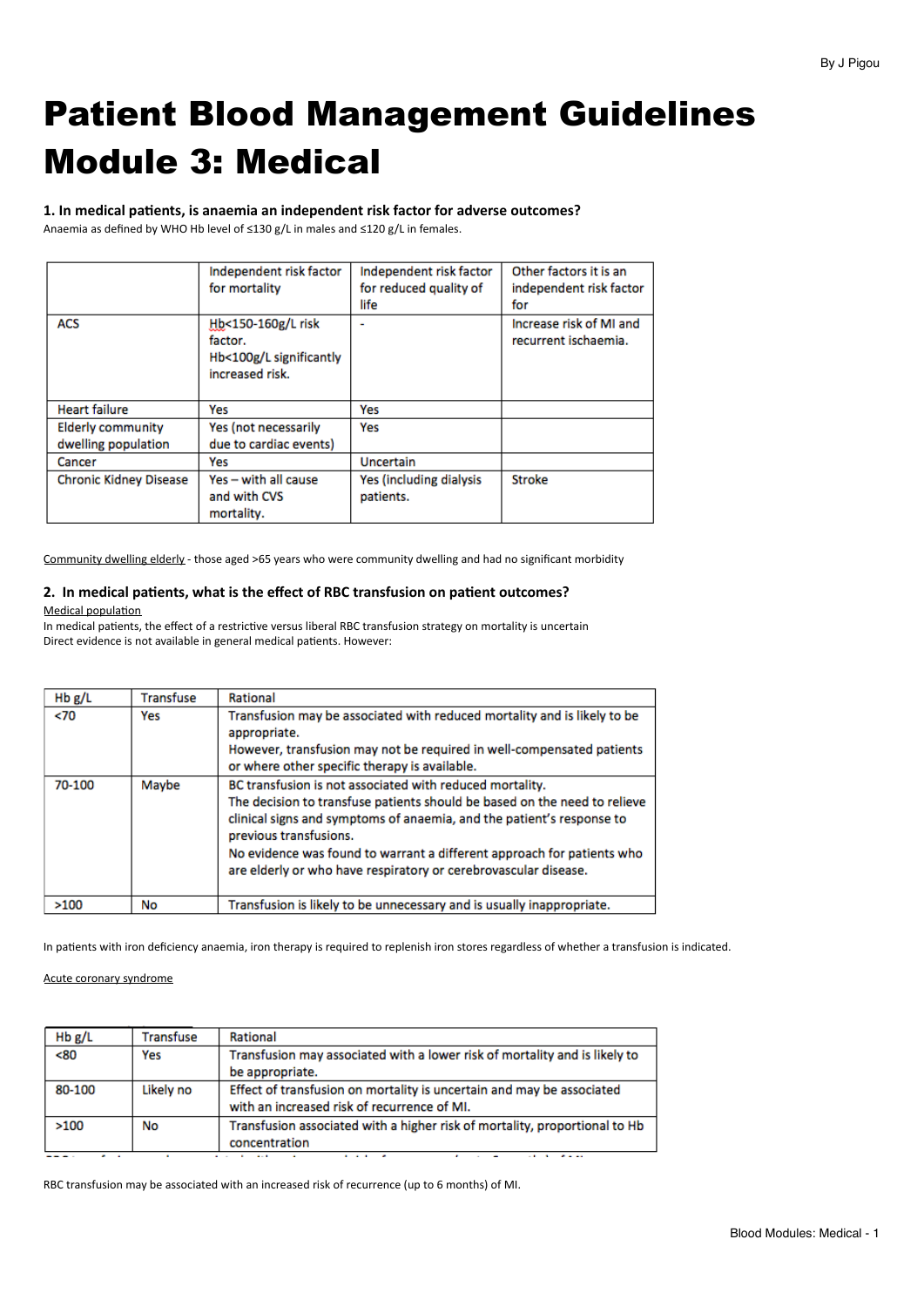# Patient Blood Management Guidelines Module 3: Medical

1. In medical patients, is anaemia an independent risk factor for adverse outcomes? Anaemia as defined by WHO Hb level of ≤130 g/L in males and ≤120 g/L in females.

|                               | Independent risk factor                                                     | Independent risk factor              | Other factors it is an                          |
|-------------------------------|-----------------------------------------------------------------------------|--------------------------------------|-------------------------------------------------|
|                               | for mortality                                                               | for reduced quality of               | independent risk factor                         |
|                               |                                                                             | life                                 | for                                             |
| <b>ACS</b>                    | Hb<150-160g/L risk<br>factor.<br>Hb<100g/L significantly<br>increased risk. |                                      | Increase risk of MI and<br>recurrent ischaemia. |
| <b>Heart failure</b>          | Yes                                                                         | Yes                                  |                                                 |
| <b>Elderly community</b>      | Yes (not necessarily                                                        | Yes                                  |                                                 |
| dwelling population           | due to cardiac events)                                                      |                                      |                                                 |
| Cancer                        | Yes                                                                         | Uncertain                            |                                                 |
| <b>Chronic Kidney Disease</b> | Yes - with all cause<br>and with CVS<br>mortality.                          | Yes (including dialysis<br>patients. | <b>Stroke</b>                                   |

Community dwelling elderly - those aged >65 years who were community dwelling and had no significant morbidity

# 2. In medical patients, what is the effect of RBC transfusion on patient outcomes?

Medical population

In medical patients, the effect of a restrictive versus liberal RBC transfusion strategy on mortality is uncertain Direct evidence is not available in general medical patients. However:

| Hb g/L | Transfuse | Rational                                                                                                                                                                                                                                                                                                                                                                              |
|--------|-----------|---------------------------------------------------------------------------------------------------------------------------------------------------------------------------------------------------------------------------------------------------------------------------------------------------------------------------------------------------------------------------------------|
| $70$   | Yes       | Transfusion may be associated with reduced mortality and is likely to be<br>appropriate.<br>However, transfusion may not be required in well-compensated patients<br>or where other specific therapy is available.                                                                                                                                                                    |
| 70-100 | Maybe     | BC transfusion is not associated with reduced mortality.<br>The decision to transfuse patients should be based on the need to relieve<br>clinical signs and symptoms of anaemia, and the patient's response to<br>previous transfusions.<br>No evidence was found to warrant a different approach for patients who<br>are elderly or who have respiratory or cerebrovascular disease. |
| >100   | No        | Transfusion is likely to be unnecessary and is usually inappropriate.                                                                                                                                                                                                                                                                                                                 |

In patients with iron deficiency anaemia, iron therapy is required to replenish iron stores regardless of whether a transfusion is indicated.

#### Acute coronary syndrome

| Hb g/L | Transfuse | Rational                                                                                                             |
|--------|-----------|----------------------------------------------------------------------------------------------------------------------|
| <80    | Yes       | Transfusion may associated with a lower risk of mortality and is likely to<br>be appropriate.                        |
| 80-100 | Likely no | Effect of transfusion on mortality is uncertain and may be associated<br>with an increased risk of recurrence of MI. |
| >100   | No        | Transfusion associated with a higher risk of mortality, proportional to Hb<br>concentration                          |

RBC transfusion may be associated with an increased risk of recurrence (up to 6 months) of MI.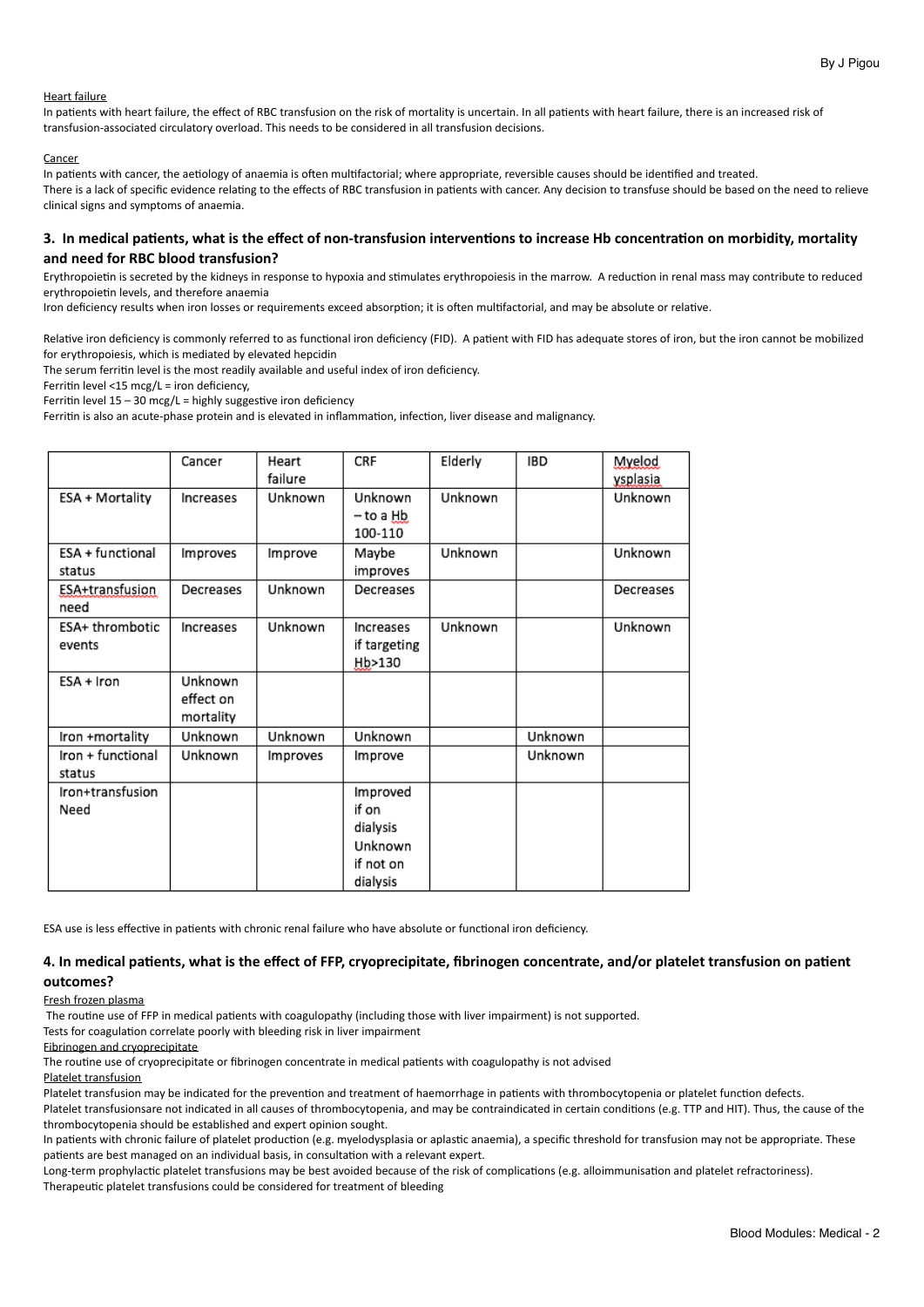#### **Heart failure**

In patients with heart failure, the effect of RBC transfusion on the risk of mortality is uncertain. In all patients with heart failure, there is an increased risk of transfusion-associated circulatory overload. This needs to be considered in all transfusion decisions.

#### Cancer

In patients with cancer, the aetiology of anaemia is often multifactorial; where appropriate, reversible causes should be identified and treated. There is a lack of specific evidence relating to the effects of RBC transfusion in patients with cancer. Any decision to transfuse should be based on the need to relieve clinical signs and symptoms of anaemia.

# 3. In medical patients, what is the effect of non-transfusion interventions to increase Hb concentration on morbidity, mortality and need for RBC blood transfusion?

Erythropoietin is secreted by the kidneys in response to hypoxia and stimulates erythropoiesis in the marrow. A reduction in renal mass may contribute to reduced erythropoietin levels, and therefore anaemia

Iron deficiency results when iron losses or requirements exceed absorption; it is often multifactorial, and may be absolute or relative.

Relative iron deficiency is commonly referred to as functional iron deficiency (FID). A patient with FID has adequate stores of iron, but the iron cannot be mobilized for erythropoiesis, which is mediated by elevated hepcidin

The serum ferritin level is the most readily available and useful index of iron deficiency.

Ferritin level <15  $\text{mcg/L} = \text{iron deficiency}$ ,

Ferritin level  $15 - 30$  mcg/L = highly suggestive iron deficiency

Ferritin is also an acute-phase protein and is elevated in inflammation, infection, liver disease and malignancy.

|                             | Cancer                            | Heart<br>failure | CRF                                                               | Elderly | <b>IBD</b> | Myelod<br>ysplasia |
|-----------------------------|-----------------------------------|------------------|-------------------------------------------------------------------|---------|------------|--------------------|
| ESA + Mortality             | Increases                         | Unknown          | Unknown<br>– to a <u>Hb.</u><br>100-110                           | Unknown |            | Unknown            |
| ESA + functional<br>status  | Improves                          | Improve          | Maybe<br>improves                                                 | Unknown |            | Unknown            |
| ESA+transfusion<br>need     | Decreases                         | Unknown          | Decreases                                                         |         |            | Decreases          |
| ESA+ thrombotic<br>events   | Increases                         | Unknown          | Increases<br>if targeting<br>Hb>130                               | Unknown |            | Unknown            |
| ESA + Iron                  | Unknown<br>effect on<br>mortality |                  |                                                                   |         |            |                    |
| Iron +mortality             | Unknown                           | Unknown          | Unknown                                                           |         | Unknown    |                    |
| Iron + functional<br>status | Unknown                           | Improves         | Improve                                                           |         | Unknown    |                    |
| Iron+transfusion<br>Need    |                                   |                  | Improved<br>if on<br>dialysis<br>Unknown<br>if not on<br>dialysis |         |            |                    |

ESA use is less effective in patients with chronic renal failure who have absolute or functional iron deficiency.

#### 4. In medical patients, what is the effect of FFP, cryoprecipitate, fibrinogen concentrate, and/or platelet transfusion on patient **outcomes?**

#### Fresh frozen plasma

The routine use of FFP in medical patients with coagulopathy (including those with liver impairment) is not supported.

Tests for coagulation correlate poorly with bleeding risk in liver impairment

#### Fibrinogen and cryoprecipitate

The routine use of cryoprecipitate or fibrinogen concentrate in medical patients with coagulopathy is not advised

#### Platelet transfusion

Platelet transfusion may be indicated for the prevention and treatment of haemorrhage in patients with thrombocytopenia or platelet function defects. Platelet transfusionsare not indicated in all causes of thrombocytopenia, and may be contraindicated in certain conditions (e.g. TTP and HIT). Thus, the cause of the

thrombocytopenia should be established and expert opinion sought.

In patients with chronic failure of platelet production (e.g. myelodysplasia or aplastic anaemia), a specific threshold for transfusion may not be appropriate. These patients are best managed on an individual basis, in consultation with a relevant expert.

Long-term prophylactic platelet transfusions may be best avoided because of the risk of complications (e.g. alloimmunisation and platelet refractoriness). Therapeutic platelet transfusions could be considered for treatment of bleeding